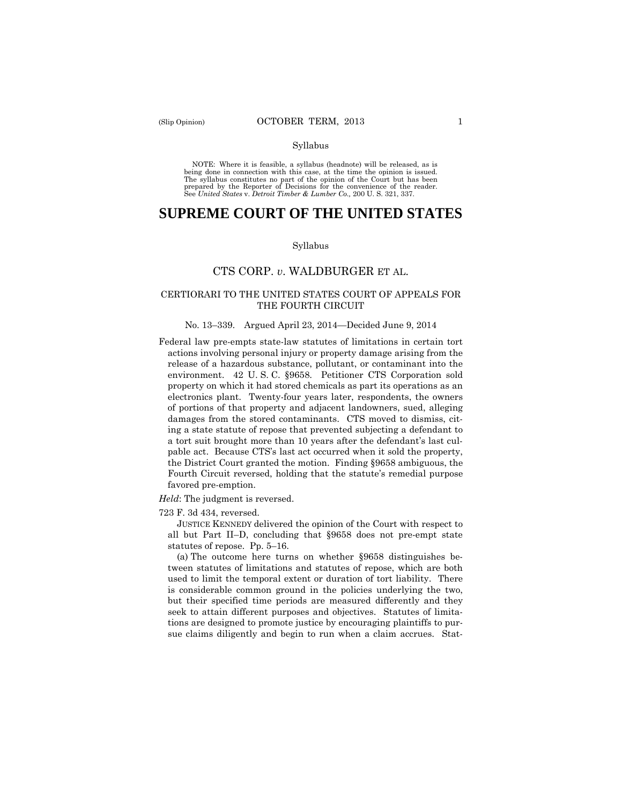#### Syllabus

 NOTE: Where it is feasible, a syllabus (headnote) will be released, as is being done in connection with this case, at the time the opinion is issued. The syllabus constitutes no part of the opinion of the Court but has been<br>prepared by the Reporter of Decisions for the convenience of the reader.<br>See United States v. Detroit Timber & Lumber Co., 200 U.S. 321, 337.

# **SUPREME COURT OF THE UNITED STATES**

#### Syllabus

## CTS CORP. *v*. WALDBURGER ET AL.

## CERTIORARI TO THE UNITED STATES COURT OF APPEALS FOR THE FOURTH CIRCUIT

## No. 13–339. Argued April 23, 2014—Decided June 9, 2014

 ing a state statute of repose that prevented subjecting a defendant to Federal law pre-empts state-law statutes of limitations in certain tort actions involving personal injury or property damage arising from the release of a hazardous substance, pollutant, or contaminant into the environment. 42 U. S. C. §9658. Petitioner CTS Corporation sold property on which it had stored chemicals as part its operations as an electronics plant. Twenty-four years later, respondents, the owners of portions of that property and adjacent landowners, sued, alleging damages from the stored contaminants. CTS moved to dismiss, cita tort suit brought more than 10 years after the defendant's last culpable act. Because CTS's last act occurred when it sold the property, the District Court granted the motion. Finding §9658 ambiguous, the Fourth Circuit reversed, holding that the statute's remedial purpose favored pre-emption.

*Held*: The judgment is reversed.

723 F. 3d 434, reversed.

JUSTICE KENNEDY delivered the opinion of the Court with respect to all but Part II–D, concluding that §9658 does not pre-empt state statutes of repose. Pp. 5–16.

(a) The outcome here turns on whether §9658 distinguishes between statutes of limitations and statutes of repose, which are both used to limit the temporal extent or duration of tort liability. There is considerable common ground in the policies underlying the two, but their specified time periods are measured differently and they seek to attain different purposes and objectives. Statutes of limitations are designed to promote justice by encouraging plaintiffs to pursue claims diligently and begin to run when a claim accrues. Stat-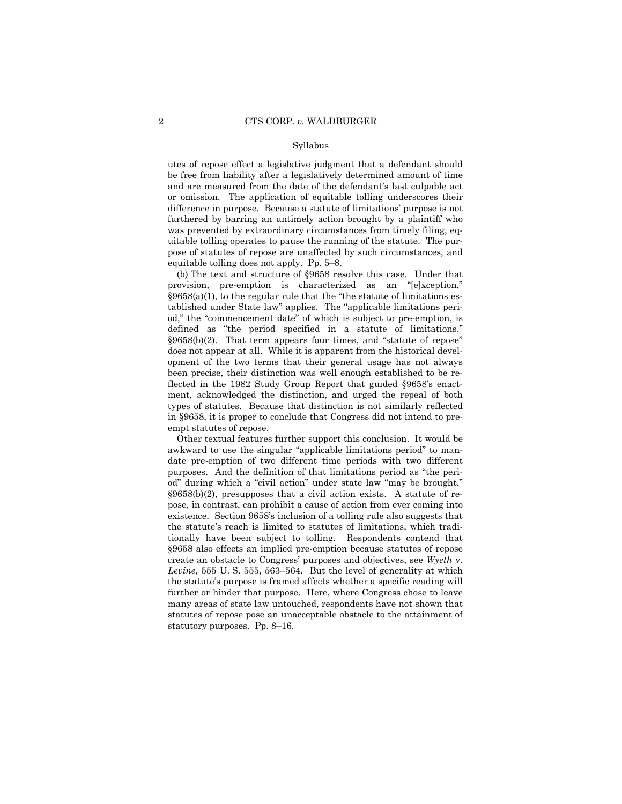#### Syllabus

utes of repose effect a legislative judgment that a defendant should be free from liability after a legislatively determined amount of time and are measured from the date of the defendant's last culpable act or omission. The application of equitable tolling underscores their difference in purpose. Because a statute of limitations' purpose is not furthered by barring an untimely action brought by a plaintiff who was prevented by extraordinary circumstances from timely filing, equitable tolling operates to pause the running of the statute. The purpose of statutes of repose are unaffected by such circumstances, and equitable tolling does not apply. Pp. 5–8.

(b) The text and structure of §9658 resolve this case. Under that provision, pre-emption is characterized as an "[e]xception,"  $§9658(a)(1)$ , to the regular rule that the "the statute of limitations established under State law" applies. The "applicable limitations period," the "commencement date" of which is subject to pre-emption, is defined as "the period specified in a statute of limitations." §9658(b)(2). That term appears four times, and "statute of repose" does not appear at all. While it is apparent from the historical development of the two terms that their general usage has not always been precise, their distinction was well enough established to be reflected in the 1982 Study Group Report that guided §9658's enactment, acknowledged the distinction, and urged the repeal of both types of statutes. Because that distinction is not similarly reflected in §9658, it is proper to conclude that Congress did not intend to preempt statutes of repose.

Other textual features further support this conclusion. It would be awkward to use the singular "applicable limitations period" to mandate pre-emption of two different time periods with two different purposes. And the definition of that limitations period as "the period" during which a "civil action" under state law "may be brought," §9658(b)(2), presupposes that a civil action exists. A statute of repose, in contrast, can prohibit a cause of action from ever coming into existence. Section 9658's inclusion of a tolling rule also suggests that the statute's reach is limited to statutes of limitations, which traditionally have been subject to tolling. Respondents contend that §9658 also effects an implied pre-emption because statutes of repose create an obstacle to Congress' purposes and objectives, see *Wyeth* v. *Levine*, 555 U. S. 555, 563–564. But the level of generality at which the statute's purpose is framed affects whether a specific reading will further or hinder that purpose. Here, where Congress chose to leave many areas of state law untouched, respondents have not shown that statutes of repose pose an unacceptable obstacle to the attainment of statutory purposes. Pp. 8–16.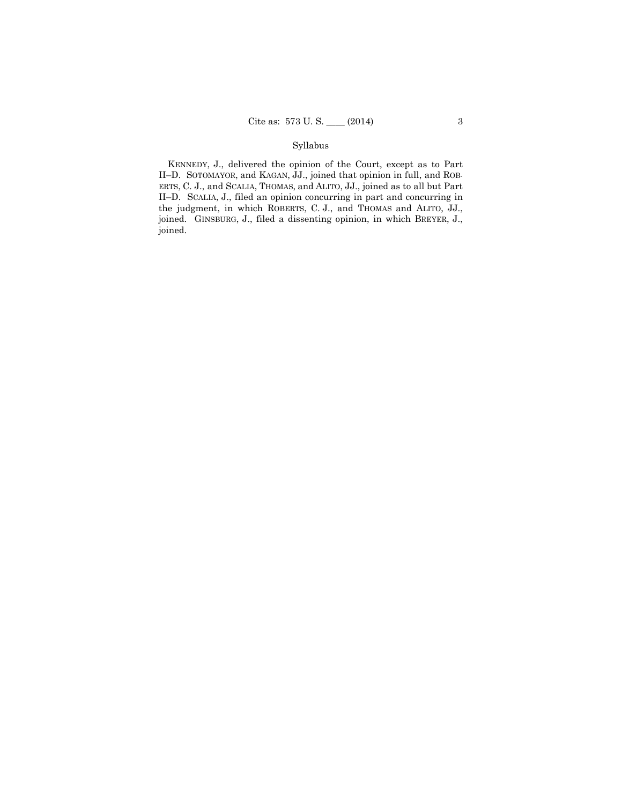# Syllabus

KENNEDY, J., delivered the opinion of the Court, except as to Part ERTS, C. J., and SCALIA, THOMAS, and ALITO, JJ., joined as to all but Part H-D. SOTOMAYOR, and KAGAN, JJ., joined that opinion in full, and ROB-II–D. SCALIA, J., filed an opinion concurring in part and concurring in the judgment, in which ROBERTS, C. J., and THOMAS and ALITO, JJ., joined. GINSBURG, J., filed a dissenting opinion, in which BREYER, J., joined.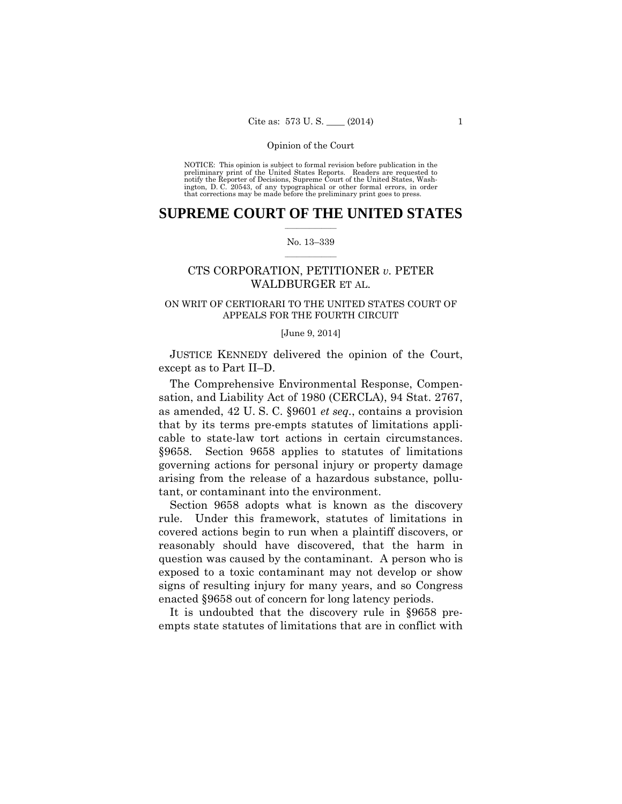preliminary print of the United States Reports. Readers are requested to notify the Reporter of Decisions, Supreme Court of the United States, Wash- ington, D. C. 20543, of any typographical or other formal errors, in order that corrections may be made before the preliminary print goes to press. NOTICE: This opinion is subject to formal revision before publication in the

## $\frac{1}{2}$  ,  $\frac{1}{2}$  ,  $\frac{1}{2}$  ,  $\frac{1}{2}$  ,  $\frac{1}{2}$  ,  $\frac{1}{2}$  ,  $\frac{1}{2}$ **SUPREME COURT OF THE UNITED STATES**

## $\frac{1}{2}$  ,  $\frac{1}{2}$  ,  $\frac{1}{2}$  ,  $\frac{1}{2}$  ,  $\frac{1}{2}$  ,  $\frac{1}{2}$ No. 13–339

# CTS CORPORATION, PETITIONER *v.* PETER WALDBURGER ET AL.

## ON WRIT OF CERTIORARI TO THE UNITED STATES COURT OF APPEALS FOR THE FOURTH CIRCUIT

#### [June 9, 2014]

 JUSTICE KENNEDY delivered the opinion of the Court, except as to Part II–D.

 cable to state-law tort actions in certain circumstances. §9658. Section 9658 applies to statutes of limitations The Comprehensive Environmental Response, Compensation, and Liability Act of 1980 (CERCLA), 94 Stat. 2767, as amended, 42 U. S. C. §9601 *et seq.*, contains a provision that by its terms pre-empts statutes of limitations appligoverning actions for personal injury or property damage arising from the release of a hazardous substance, pollutant, or contaminant into the environment.

Section 9658 adopts what is known as the discovery rule. Under this framework, statutes of limitations in covered actions begin to run when a plaintiff discovers, or reasonably should have discovered, that the harm in question was caused by the contaminant. A person who is exposed to a toxic contaminant may not develop or show signs of resulting injury for many years, and so Congress enacted §9658 out of concern for long latency periods.

It is undoubted that the discovery rule in §9658 preempts state statutes of limitations that are in conflict with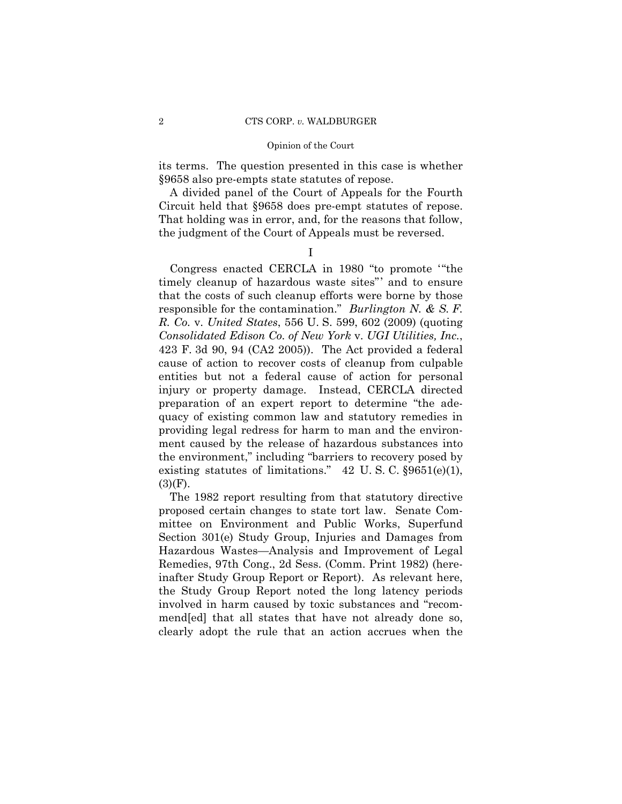its terms. The question presented in this case is whether §9658 also pre-empts state statutes of repose.

A divided panel of the Court of Appeals for the Fourth Circuit held that §9658 does pre-empt statutes of repose. That holding was in error, and, for the reasons that follow, the judgment of the Court of Appeals must be reversed.

## I

Congress enacted CERCLA in 1980 "to promote '"the timely cleanup of hazardous waste sites"' and to ensure that the costs of such cleanup efforts were borne by those responsible for the contamination." *Burlington N. & S. F. R. Co.* v. *United States*, 556 U. S. 599, 602 (2009) (quoting *Consolidated Edison Co. of New York* v. *UGI Utilities, Inc.*, 423 F. 3d 90, 94 (CA2 2005)). The Act provided a federal cause of action to recover costs of cleanup from culpable entities but not a federal cause of action for personal injury or property damage. Instead, CERCLA directed preparation of an expert report to determine "the adequacy of existing common law and statutory remedies in providing legal redress for harm to man and the environment caused by the release of hazardous substances into the environment," including "barriers to recovery posed by existing statutes of limitations."  $42 \text{ U.S. C. }$  \$9651(e)(1),  $(3)(F)$ .

 proposed certain changes to state tort law. Senate Com-The 1982 report resulting from that statutory directive mittee on Environment and Public Works, Superfund Section 301(e) Study Group, Injuries and Damages from Hazardous Wastes—Analysis and Improvement of Legal Remedies, 97th Cong., 2d Sess. (Comm. Print 1982) (hereinafter Study Group Report or Report). As relevant here, the Study Group Report noted the long latency periods involved in harm caused by toxic substances and "recommend[ed] that all states that have not already done so, clearly adopt the rule that an action accrues when the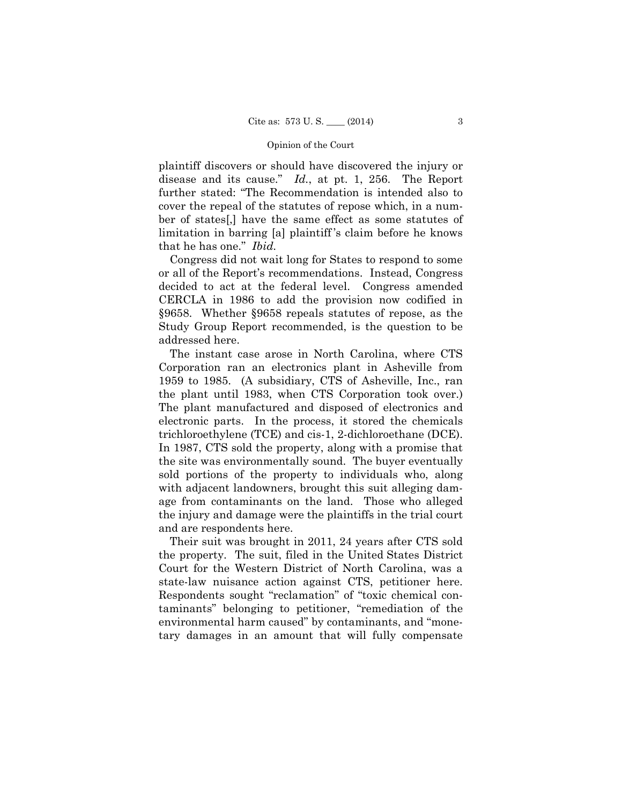plaintiff discovers or should have discovered the injury or disease and its cause." *Id.*, at pt. 1, 256. The Report further stated: "The Recommendation is intended also to cover the repeal of the statutes of repose which, in a number of states[,] have the same effect as some statutes of limitation in barring [a] plaintiff 's claim before he knows that he has one." *Ibid.* 

Congress did not wait long for States to respond to some or all of the Report's recommendations. Instead, Congress decided to act at the federal level. Congress amended CERCLA in 1986 to add the provision now codified in §9658. Whether §9658 repeals statutes of repose, as the Study Group Report recommended, is the question to be addressed here.

The instant case arose in North Carolina, where CTS Corporation ran an electronics plant in Asheville from 1959 to 1985. (A subsidiary, CTS of Asheville, Inc., ran the plant until 1983, when CTS Corporation took over.) The plant manufactured and disposed of electronics and electronic parts. In the process, it stored the chemicals trichloroethylene (TCE) and cis-1, 2-dichloroethane (DCE). In 1987, CTS sold the property, along with a promise that the site was environmentally sound. The buyer eventually sold portions of the property to individuals who, along with adjacent landowners, brought this suit alleging damage from contaminants on the land. Those who alleged the injury and damage were the plaintiffs in the trial court and are respondents here.

Their suit was brought in 2011, 24 years after CTS sold the property. The suit, filed in the United States District Court for the Western District of North Carolina, was a state-law nuisance action against CTS, petitioner here. Respondents sought "reclamation" of "toxic chemical contaminants" belonging to petitioner, "remediation of the environmental harm caused" by contaminants, and "monetary damages in an amount that will fully compensate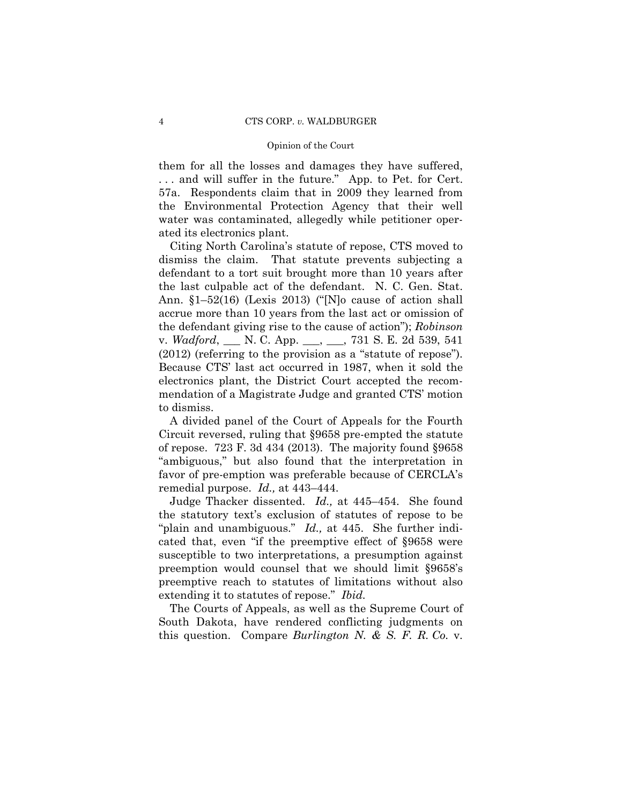them for all the losses and damages they have suffered, . . . and will suffer in the future." App. to Pet. for Cert. 57a. Respondents claim that in 2009 they learned from the Environmental Protection Agency that their well water was contaminated, allegedly while petitioner operated its electronics plant.

Citing North Carolina's statute of repose, CTS moved to dismiss the claim. That statute prevents subjecting a defendant to a tort suit brought more than 10 years after the last culpable act of the defendant. N. C. Gen. Stat. Ann. §1–52(16) (Lexis 2013) ("[N]o cause of action shall accrue more than 10 years from the last act or omission of the defendant giving rise to the cause of action"); *Robinson*  v. *Wadford*, \_\_\_ N. C. App. \_\_\_, \_\_\_, 731 S. E. 2d 539, 541 (2012) (referring to the provision as a "statute of repose"). Because CTS' last act occurred in 1987, when it sold the electronics plant, the District Court accepted the recommendation of a Magistrate Judge and granted CTS' motion to dismiss.

A divided panel of the Court of Appeals for the Fourth Circuit reversed, ruling that §9658 pre-empted the statute of repose. 723 F. 3d 434 (2013). The majority found §9658 "ambiguous," but also found that the interpretation in favor of pre-emption was preferable because of CERCLA's remedial purpose. *Id.,* at 443–444.

Judge Thacker dissented. *Id.,* at 445–454. She found the statutory text's exclusion of statutes of repose to be "plain and unambiguous." *Id.,* at 445. She further indicated that, even "if the preemptive effect of §9658 were susceptible to two interpretations, a presumption against preemption would counsel that we should limit §9658's preemptive reach to statutes of limitations without also extending it to statutes of repose." *Ibid.* 

The Courts of Appeals, as well as the Supreme Court of South Dakota, have rendered conflicting judgments on this question. Compare *Burlington N. & S. F. R. Co.* v.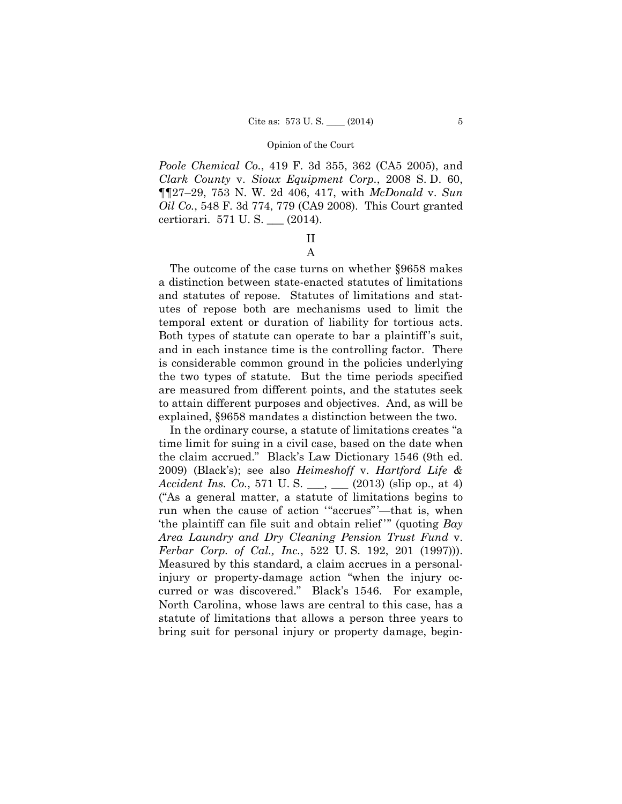*Poole Chemical Co.*, 419 F. 3d 355, 362 (CA5 2005), and *Clark County* v. *Sioux Equipment Corp.*, 2008 S. D. 60, ¶¶27–29, 753 N. W. 2d 406, 417, with *McDonald* v. *Sun Oil Co.*, 548 F. 3d 774, 779 (CA9 2008). This Court granted certiorari. 571 U. S. \_\_\_ (2014).

# II A

The outcome of the case turns on whether §9658 makes a distinction between state-enacted statutes of limitations and statutes of repose. Statutes of limitations and statutes of repose both are mechanisms used to limit the temporal extent or duration of liability for tortious acts. Both types of statute can operate to bar a plaintiff 's suit, and in each instance time is the controlling factor. There is considerable common ground in the policies underlying the two types of statute. But the time periods specified are measured from different points, and the statutes seek to attain different purposes and objectives. And, as will be explained, §9658 mandates a distinction between the two.

In the ordinary course, a statute of limitations creates "a time limit for suing in a civil case, based on the date when the claim accrued." Black's Law Dictionary 1546 (9th ed. 2009) (Black's); see also *Heimeshoff* v. *Hartford Life & Accident Ins. Co.*, 571 U.S. \_\_, \_\_ (2013) (slip op., at 4) ("As a general matter, a statute of limitations begins to run when the cause of action '"accrues"'—that is, when 'the plaintiff can file suit and obtain relief '" (quoting *Bay Area Laundry and Dry Cleaning Pension Trust Fund* v. *Ferbar Corp. of Cal., Inc.*, 522 U. S. 192, 201 (1997))). Measured by this standard, a claim accrues in a personalinjury or property-damage action "when the injury occurred or was discovered." Black's 1546. For example, North Carolina, whose laws are central to this case, has a statute of limitations that allows a person three years to bring suit for personal injury or property damage, begin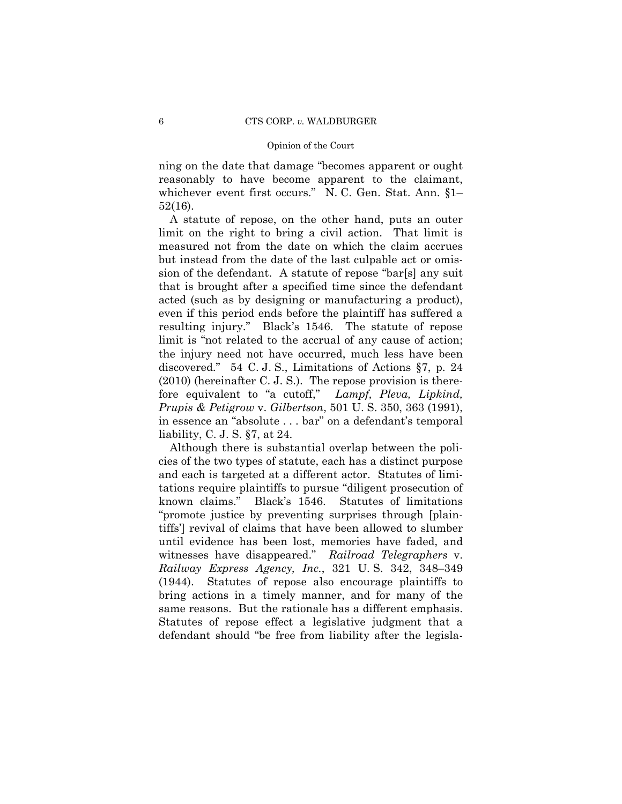ning on the date that damage "becomes apparent or ought reasonably to have become apparent to the claimant, whichever event first occurs." N. C. Gen. Stat. Ann. §1– 52(16).

A statute of repose, on the other hand, puts an outer limit on the right to bring a civil action. That limit is measured not from the date on which the claim accrues but instead from the date of the last culpable act or omission of the defendant. A statute of repose "bar[s] any suit that is brought after a specified time since the defendant acted (such as by designing or manufacturing a product), even if this period ends before the plaintiff has suffered a resulting injury." Black's 1546. The statute of repose limit is "not related to the accrual of any cause of action; the injury need not have occurred, much less have been discovered." 54 C. J. S., Limitations of Actions §7, p. 24 (2010) (hereinafter C. J. S.). The repose provision is therefore equivalent to "a cutoff," *Lampf, Pleva, Lipkind, Prupis & Petigrow* v. *Gilbertson*, 501 U. S. 350, 363 (1991), in essence an "absolute . . . bar" on a defendant's temporal liability, C. J. S. §7, at 24.

Although there is substantial overlap between the policies of the two types of statute, each has a distinct purpose and each is targeted at a different actor. Statutes of limitations require plaintiffs to pursue "diligent prosecution of known claims." Black's 1546. Statutes of limitations "promote justice by preventing surprises through [plaintiffs'] revival of claims that have been allowed to slumber until evidence has been lost, memories have faded, and witnesses have disappeared." *Railroad Telegraphers* v. *Railway Express Agency, Inc.*, 321 U. S. 342, 348–349 (1944). Statutes of repose also encourage plaintiffs to bring actions in a timely manner, and for many of the same reasons. But the rationale has a different emphasis. Statutes of repose effect a legislative judgment that a defendant should "be free from liability after the legisla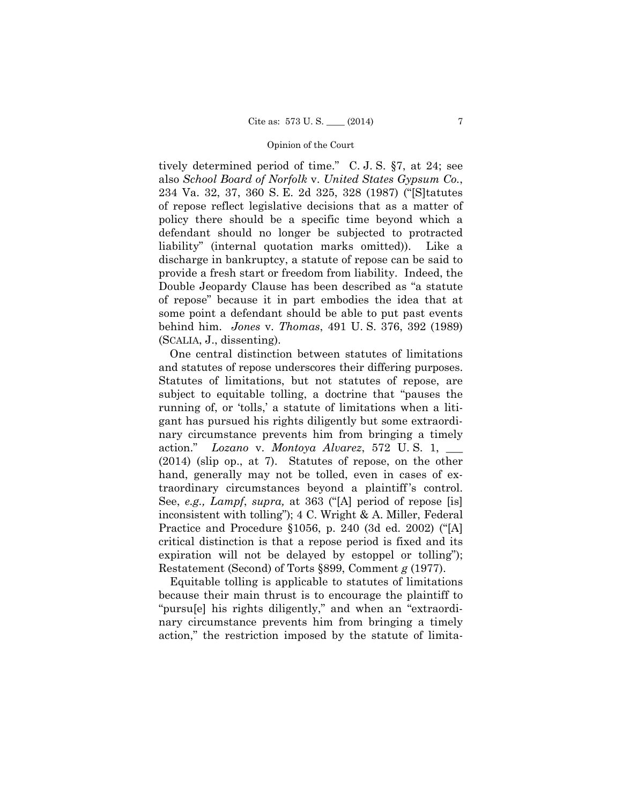tively determined period of time." C. J. S. §7, at 24; see also *School Board of Norfolk* v. *United States Gypsum Co.*, 234 Va. 32, 37, 360 S. E. 2d 325, 328 (1987) ("[S]tatutes of repose reflect legislative decisions that as a matter of policy there should be a specific time beyond which a defendant should no longer be subjected to protracted liability" (internal quotation marks omitted)). Like a discharge in bankruptcy, a statute of repose can be said to provide a fresh start or freedom from liability. Indeed, the Double Jeopardy Clause has been described as "a statute of repose" because it in part embodies the idea that at some point a defendant should be able to put past events behind him. *Jones* v. *Thomas*, 491 U. S. 376, 392 (1989) (SCALIA, J., dissenting).

 and statutes of repose underscores their differing purposes. traordinary circumstances beyond a plaintiff's control. One central distinction between statutes of limitations Statutes of limitations, but not statutes of repose, are subject to equitable tolling, a doctrine that "pauses the running of, or 'tolls,' a statute of limitations when a litigant has pursued his rights diligently but some extraordinary circumstance prevents him from bringing a timely action." *Lozano* v. *Montoya Alvarez*, 572 U. S. 1, \_\_\_ (2014) (slip op., at 7). Statutes of repose, on the other hand, generally may not be tolled, even in cases of ex-See, *e.g., Lampf, supra,* at 363 ("[A] period of repose [is] inconsistent with tolling"); 4 C. Wright & A. Miller, Federal Practice and Procedure §1056, p. 240 (3d ed. 2002) ("[A] critical distinction is that a repose period is fixed and its expiration will not be delayed by estoppel or tolling"); Restatement (Second) of Torts §899, Comment *g* (1977).

Equitable tolling is applicable to statutes of limitations because their main thrust is to encourage the plaintiff to "pursu[e] his rights diligently," and when an "extraordinary circumstance prevents him from bringing a timely action," the restriction imposed by the statute of limita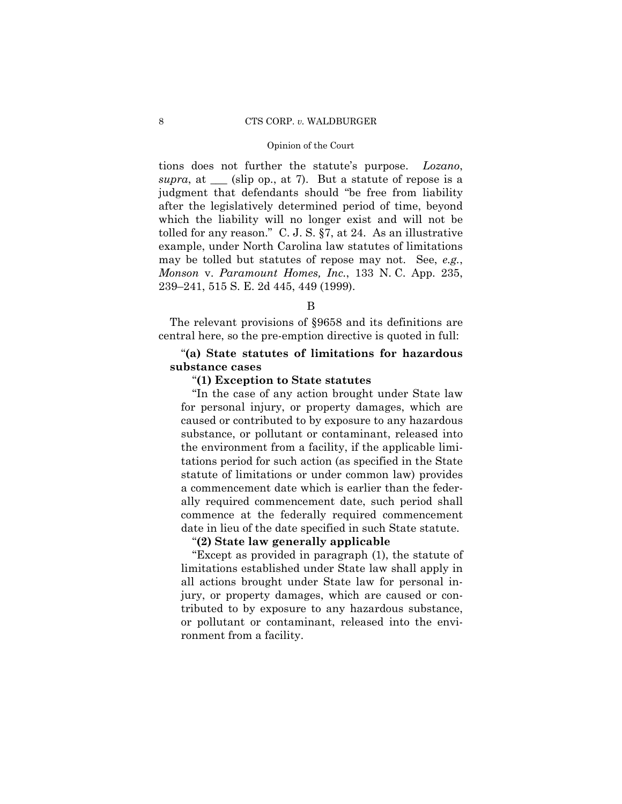tions does not further the statute's purpose. *Lozano*, *supra*, at \_\_\_ (slip op., at 7). But a statute of repose is a judgment that defendants should "be free from liability after the legislatively determined period of time, beyond which the liability will no longer exist and will not be tolled for any reason." C. J. S. §7, at 24. As an illustrative example, under North Carolina law statutes of limitations may be tolled but statutes of repose may not. See, *e.g.*, *Monson* v. *Paramount Homes, Inc.*, 133 N. C. App. 235, 239–241, 515 S. E. 2d 445, 449 (1999).

## B

The relevant provisions of §9658 and its definitions are central here, so the pre-emption directive is quoted in full:

# "**(a) State statutes of limitations for hazardous substance cases**

## "**(1) Exception to State statutes**

"In the case of any action brought under State law for personal injury, or property damages, which are caused or contributed to by exposure to any hazardous substance, or pollutant or contaminant, released into the environment from a facility, if the applicable limitations period for such action (as specified in the State statute of limitations or under common law) provides a commencement date which is earlier than the federally required commencement date, such period shall commence at the federally required commencement date in lieu of the date specified in such State statute.

## "**(2) State law generally applicable**

"Except as provided in paragraph (1), the statute of limitations established under State law shall apply in all actions brought under State law for personal injury, or property damages, which are caused or contributed to by exposure to any hazardous substance, or pollutant or contaminant, released into the environment from a facility.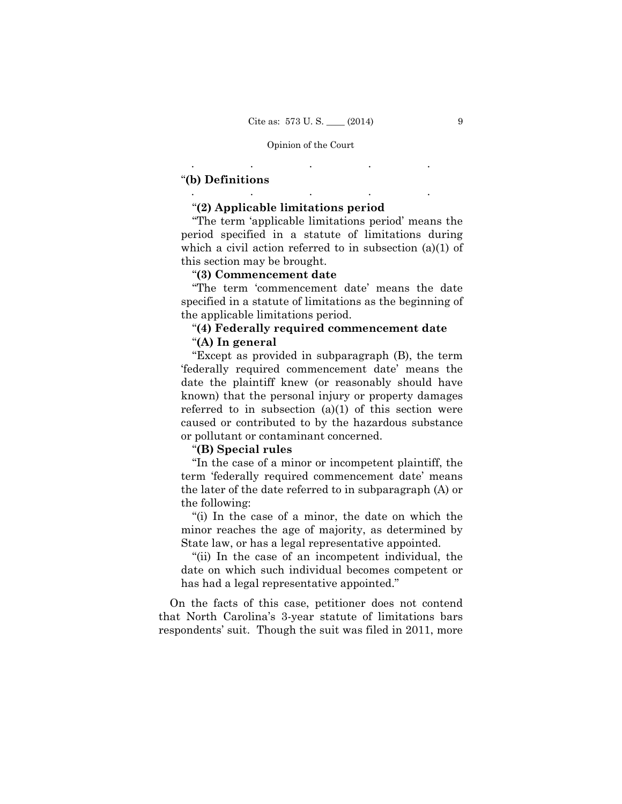# "**(b) Definitions**

# "**(2) Applicable limitations period**

. . . .

. The same state is a set of the state  $\mathcal{L}_\mathcal{A}$ 

"The term 'applicable limitations period' means the period specified in a statute of limitations during which a civil action referred to in subsection (a)(1) of this section may be brought.

## "**(3) Commencement date**

"The term 'commencement date' means the date specified in a statute of limitations as the beginning of the applicable limitations period.

# "**(4) Federally required commencement date** "**(A) In general**

"Except as provided in subparagraph (B), the term 'federally required commencement date' means the date the plaintiff knew (or reasonably should have known) that the personal injury or property damages referred to in subsection  $(a)(1)$  of this section were caused or contributed to by the hazardous substance or pollutant or contaminant concerned.

## "**(B) Special rules**

"In the case of a minor or incompetent plaintiff, the term 'federally required commencement date' means the later of the date referred to in subparagraph (A) or the following:

"(i) In the case of a minor, the date on which the minor reaches the age of majority, as determined by State law, or has a legal representative appointed.

"(ii) In the case of an incompetent individual, the date on which such individual becomes competent or has had a legal representative appointed."

On the facts of this case, petitioner does not contend that North Carolina's 3-year statute of limitations bars respondents' suit. Though the suit was filed in 2011, more

.

.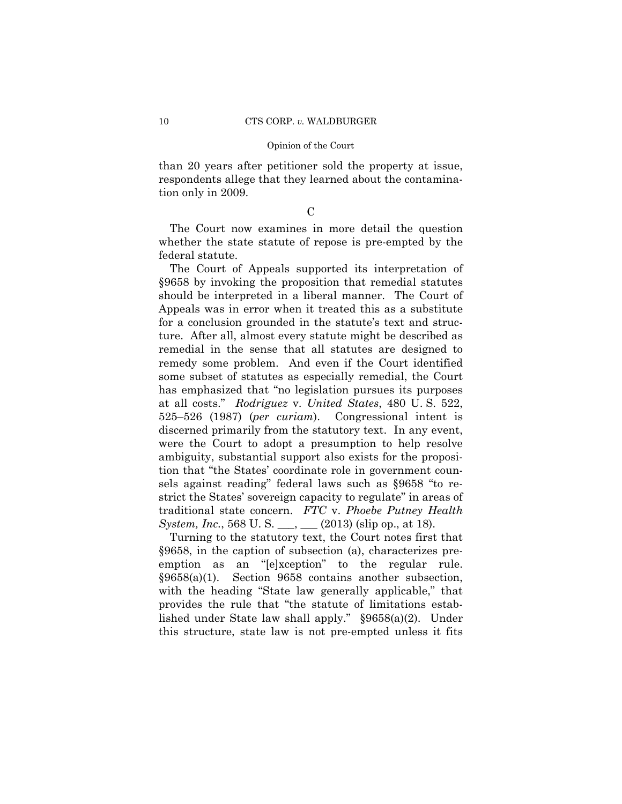than 20 years after petitioner sold the property at issue, respondents allege that they learned about the contamination only in 2009.

# $\mathcal{C}$

The Court now examines in more detail the question whether the state statute of repose is pre-empted by the federal statute.

The Court of Appeals supported its interpretation of §9658 by invoking the proposition that remedial statutes should be interpreted in a liberal manner. The Court of Appeals was in error when it treated this as a substitute for a conclusion grounded in the statute's text and structure. After all, almost every statute might be described as remedial in the sense that all statutes are designed to remedy some problem. And even if the Court identified some subset of statutes as especially remedial, the Court has emphasized that "no legislation pursues its purposes at all costs." *Rodriguez* v. *United States*, 480 U. S. 522, 525–526 (1987) (*per curiam*). Congressional intent is discerned primarily from the statutory text. In any event, were the Court to adopt a presumption to help resolve ambiguity, substantial support also exists for the proposition that "the States' coordinate role in government counsels against reading" federal laws such as §9658 "to restrict the States' sovereign capacity to regulate" in areas of traditional state concern. *FTC* v. *Phoebe Putney Health System, Inc.*, 568 U.S. \_\_\_, \_\_\_ (2013) (slip op., at 18).

 emption as an "[e]xception" to the regular rule. §9658(a)(1). Section 9658 contains another subsection, Turning to the statutory text, the Court notes first that §9658, in the caption of subsection (a), characterizes prewith the heading "State law generally applicable," that provides the rule that "the statute of limitations established under State law shall apply." §9658(a)(2). Under this structure, state law is not pre-empted unless it fits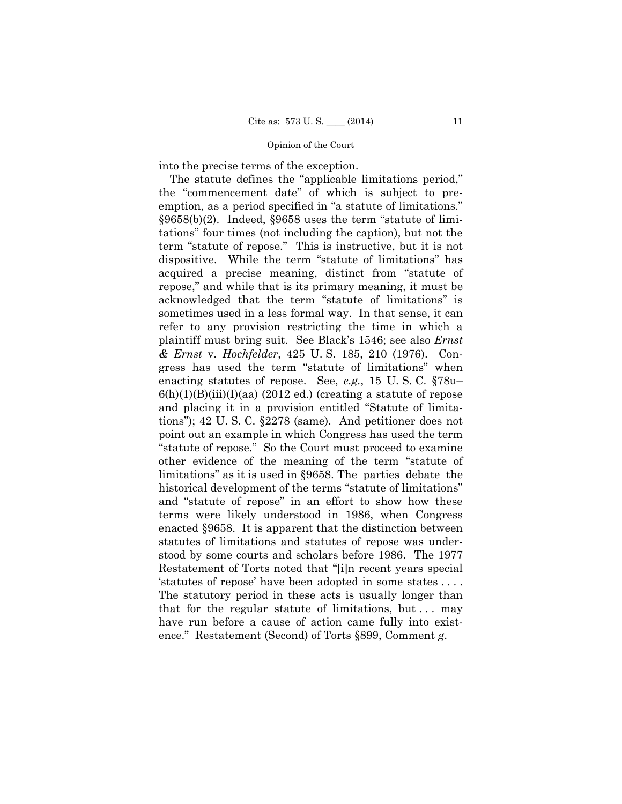into the precise terms of the exception.

The statute defines the "applicable limitations period," the "commencement date" of which is subject to preemption, as a period specified in "a statute of limitations." §9658(b)(2). Indeed, §9658 uses the term "statute of limitations" four times (not including the caption), but not the term "statute of repose." This is instructive, but it is not dispositive. While the term "statute of limitations" has acquired a precise meaning, distinct from "statute of repose," and while that is its primary meaning, it must be acknowledged that the term "statute of limitations" is sometimes used in a less formal way. In that sense, it can refer to any provision restricting the time in which a plaintiff must bring suit. See Black's 1546; see also *Ernst & Ernst* v. *Hochfelder*, 425 U. S. 185, 210 (1976). Congress has used the term "statute of limitations" when enacting statutes of repose. See, *e.g.*, 15 U. S. C. §78u–  $6(h)(1)(B)(iii)(I)(aa)$  (2012 ed.) (creating a statute of repose and placing it in a provision entitled "Statute of limitations"); 42 U. S. C. §2278 (same). And petitioner does not point out an example in which Congress has used the term "statute of repose." So the Court must proceed to examine other evidence of the meaning of the term "statute of limitations" as it is used in §9658. The parties debate the historical development of the terms "statute of limitations" and "statute of repose" in an effort to show how these terms were likely understood in 1986, when Congress enacted §9658. It is apparent that the distinction between statutes of limitations and statutes of repose was understood by some courts and scholars before 1986. The 1977 Restatement of Torts noted that "[i]n recent years special 'statutes of repose' have been adopted in some states . . . . The statutory period in these acts is usually longer than that for the regular statute of limitations, but  $\dots$  may have run before a cause of action came fully into existence." Restatement (Second) of Torts §899, Comment *g*.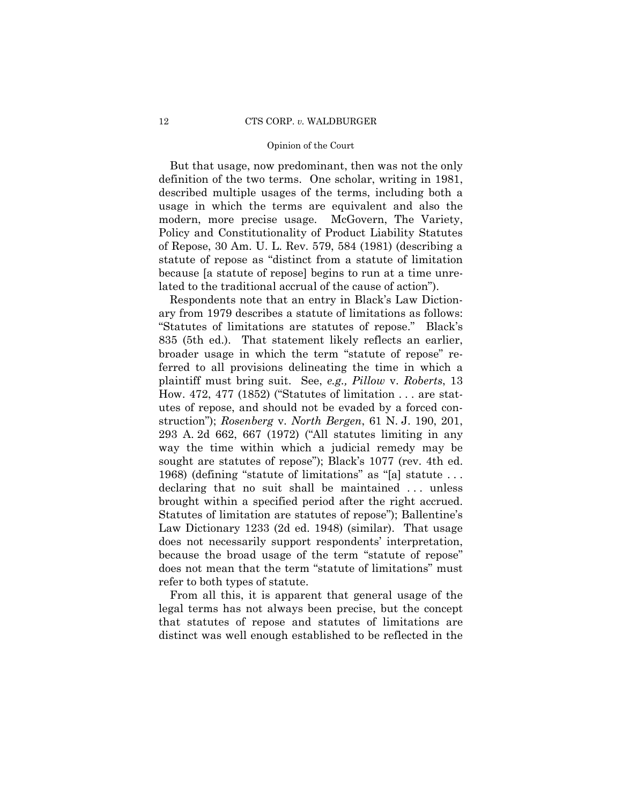But that usage, now predominant, then was not the only definition of the two terms. One scholar, writing in 1981, described multiple usages of the terms, including both a usage in which the terms are equivalent and also the modern, more precise usage. McGovern, The Variety, Policy and Constitutionality of Product Liability Statutes of Repose, 30 Am. U. L. Rev. 579, 584 (1981) (describing a statute of repose as "distinct from a statute of limitation because [a statute of repose] begins to run at a time unrelated to the traditional accrual of the cause of action").

Respondents note that an entry in Black's Law Dictionary from 1979 describes a statute of limitations as follows: "Statutes of limitations are statutes of repose." Black's 835 (5th ed.). That statement likely reflects an earlier, broader usage in which the term "statute of repose" referred to all provisions delineating the time in which a plaintiff must bring suit. See, *e.g., Pillow* v. *Roberts*, 13 How. 472, 477 (1852) ("Statutes of limitation . . . are statutes of repose, and should not be evaded by a forced construction"); *Rosenberg* v. *North Bergen*, 61 N. J. 190, 201, 293 A. 2d 662, 667 (1972) ("All statutes limiting in any way the time within which a judicial remedy may be sought are statutes of repose"); Black's 1077 (rev. 4th ed. 1968) (defining "statute of limitations" as "[a] statute . . . declaring that no suit shall be maintained ... unless brought within a specified period after the right accrued. Statutes of limitation are statutes of repose"); Ballentine's Law Dictionary 1233 (2d ed. 1948) (similar). That usage does not necessarily support respondents' interpretation, because the broad usage of the term "statute of repose" does not mean that the term "statute of limitations" must refer to both types of statute.

From all this, it is apparent that general usage of the legal terms has not always been precise, but the concept that statutes of repose and statutes of limitations are distinct was well enough established to be reflected in the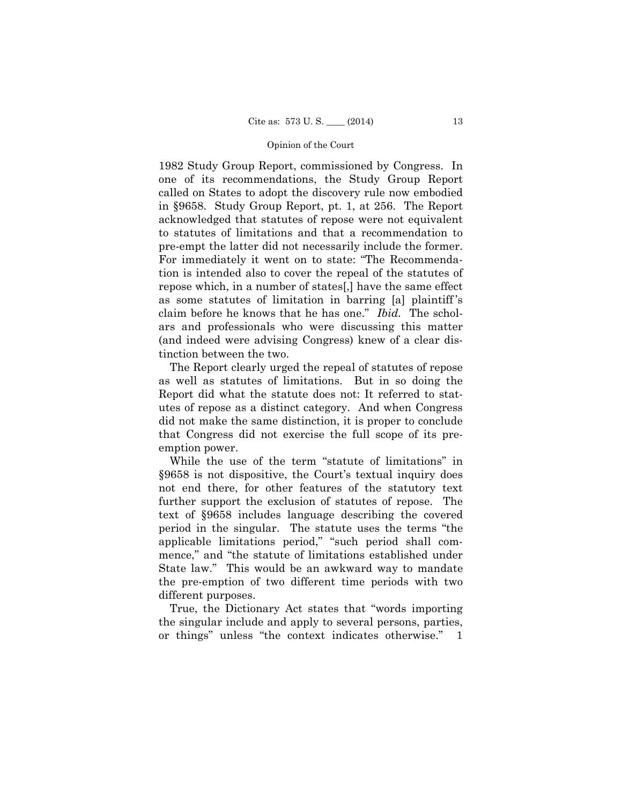1982 Study Group Report, commissioned by Congress. In one of its recommendations, the Study Group Report called on States to adopt the discovery rule now embodied in §9658. Study Group Report, pt. 1, at 256. The Report acknowledged that statutes of repose were not equivalent to statutes of limitations and that a recommendation to pre-empt the latter did not necessarily include the former. For immediately it went on to state: "The Recommendation is intended also to cover the repeal of the statutes of repose which, in a number of states[,] have the same effect as some statutes of limitation in barring [a] plaintiff 's claim before he knows that he has one." *Ibid.* The scholars and professionals who were discussing this matter (and indeed were advising Congress) knew of a clear distinction between the two.

The Report clearly urged the repeal of statutes of repose as well as statutes of limitations. But in so doing the Report did what the statute does not: It referred to statutes of repose as a distinct category. And when Congress did not make the same distinction, it is proper to conclude that Congress did not exercise the full scope of its preemption power.

While the use of the term "statute of limitations" in §9658 is not dispositive, the Court's textual inquiry does not end there, for other features of the statutory text further support the exclusion of statutes of repose. The text of §9658 includes language describing the covered period in the singular. The statute uses the terms "the applicable limitations period," "such period shall commence," and "the statute of limitations established under State law." This would be an awkward way to mandate the pre-emption of two different time periods with two different purposes.

True, the Dictionary Act states that "words importing the singular include and apply to several persons, parties, or things" unless "the context indicates otherwise." 1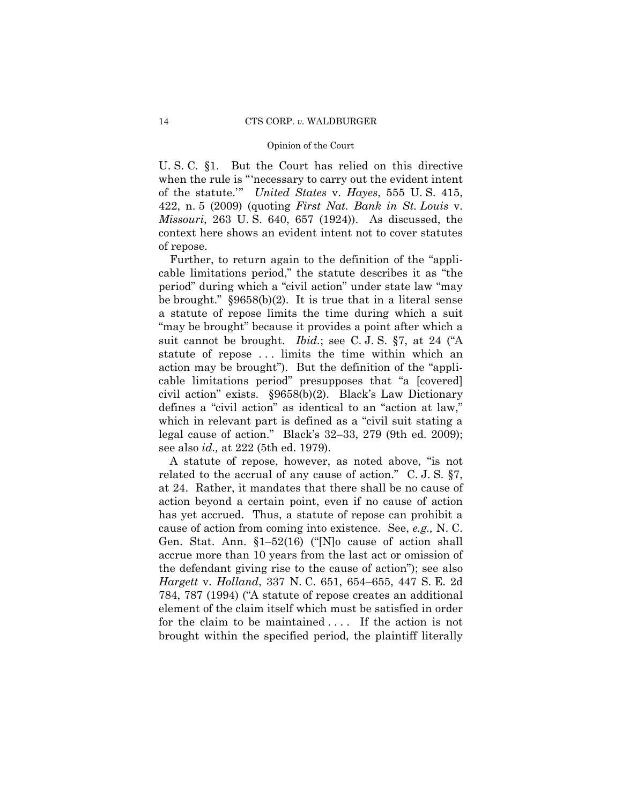U. S. C. §1. But the Court has relied on this directive when the rule is "'necessary to carry out the evident intent of the statute.'" *United States* v. *Hayes*, 555 U. S. 415, 422, n. 5 (2009) (quoting *First Nat. Bank in St. Louis* v. *Missouri*, 263 U. S. 640, 657 (1924)). As discussed, the context here shows an evident intent not to cover statutes of repose.

 be brought." §9658(b)(2). It is true that in a literal sense Further, to return again to the definition of the "applicable limitations period," the statute describes it as "the period" during which a "civil action" under state law "may a statute of repose limits the time during which a suit "may be brought" because it provides a point after which a suit cannot be brought. *Ibid.*; see C. J. S. §7, at 24 ("A statute of repose . . . limits the time within which an action may be brought"). But the definition of the "applicable limitations period" presupposes that "a [covered] civil action" exists. §9658(b)(2). Black's Law Dictionary defines a "civil action" as identical to an "action at law," which in relevant part is defined as a "civil suit stating a legal cause of action." Black's 32–33, 279 (9th ed. 2009); see also *id.,* at 222 (5th ed. 1979).

A statute of repose, however, as noted above, "is not related to the accrual of any cause of action." C. J. S. §7, at 24. Rather, it mandates that there shall be no cause of action beyond a certain point, even if no cause of action has yet accrued. Thus, a statute of repose can prohibit a cause of action from coming into existence. See, *e.g.,* N. C. Gen. Stat. Ann. §1–52(16) ("[N]o cause of action shall accrue more than 10 years from the last act or omission of the defendant giving rise to the cause of action"); see also *Hargett* v. *Holland*, 337 N. C. 651, 654–655, 447 S. E. 2d 784, 787 (1994) ("A statute of repose creates an additional element of the claim itself which must be satisfied in order for the claim to be maintained .... If the action is not brought within the specified period, the plaintiff literally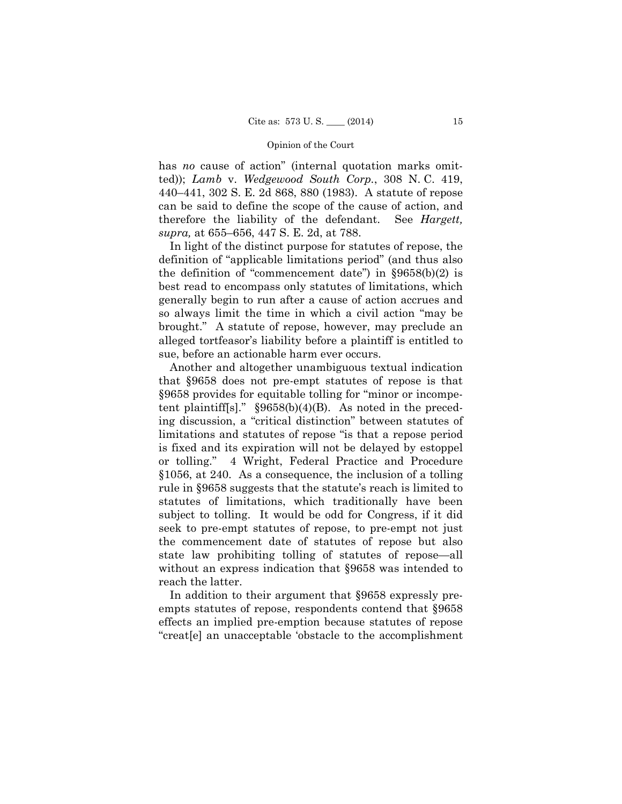has *no* cause of action" (internal quotation marks omitted)); *Lamb* v. *Wedgewood South Corp.*, 308 N. C. 419, 440–441, 302 S. E. 2d 868, 880 (1983). A statute of repose can be said to define the scope of the cause of action, and therefore the liability of the defendant. See *Hargett, supra,* at 655–656, 447 S. E. 2d, at 788.

In light of the distinct purpose for statutes of repose, the definition of "applicable limitations period" (and thus also the definition of "commencement date") in  $\S 9658(b)(2)$  is best read to encompass only statutes of limitations, which generally begin to run after a cause of action accrues and so always limit the time in which a civil action "may be brought." A statute of repose, however, may preclude an alleged tortfeasor's liability before a plaintiff is entitled to sue, before an actionable harm ever occurs.

Another and altogether unambiguous textual indication that §9658 does not pre-empt statutes of repose is that §9658 provides for equitable tolling for "minor or incompetent plaintiff[s]." §9658(b)(4)(B). As noted in the preceding discussion, a "critical distinction" between statutes of limitations and statutes of repose "is that a repose period is fixed and its expiration will not be delayed by estoppel or tolling." 4 Wright, Federal Practice and Procedure §1056, at 240. As a consequence, the inclusion of a tolling rule in §9658 suggests that the statute's reach is limited to statutes of limitations, which traditionally have been subject to tolling. It would be odd for Congress, if it did seek to pre-empt statutes of repose, to pre-empt not just the commencement date of statutes of repose but also state law prohibiting tolling of statutes of repose—all without an express indication that §9658 was intended to reach the latter.

In addition to their argument that §9658 expressly preempts statutes of repose, respondents contend that §9658 effects an implied pre-emption because statutes of repose "creat[e] an unacceptable 'obstacle to the accomplishment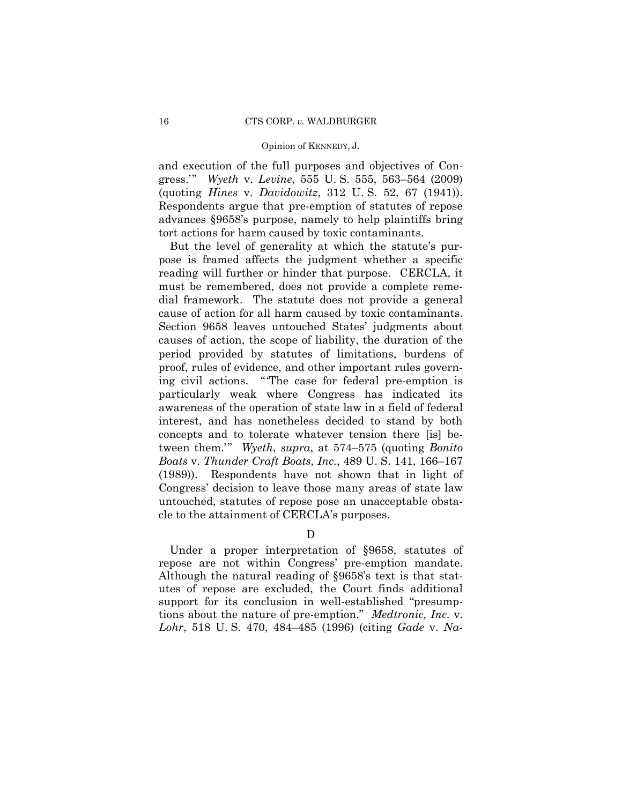## Opinion of KENNEDY, J.

and execution of the full purposes and objectives of Congress.'" *Wyeth* v. *Levine*, 555 U. S. 555, 563–564 (2009) (quoting *Hines* v. *Davidowitz*, 312 U. S. 52, 67 (1941)). Respondents argue that pre-emption of statutes of repose advances §9658's purpose, namely to help plaintiffs bring tort actions for harm caused by toxic contaminants.

 dial framework. The statute does not provide a general But the level of generality at which the statute's purpose is framed affects the judgment whether a specific reading will further or hinder that purpose. CERCLA, it must be remembered, does not provide a complete remecause of action for all harm caused by toxic contaminants. Section 9658 leaves untouched States' judgments about causes of action, the scope of liability, the duration of the period provided by statutes of limitations, burdens of proof, rules of evidence, and other important rules governing civil actions. "'The case for federal pre-emption is particularly weak where Congress has indicated its awareness of the operation of state law in a field of federal interest, and has nonetheless decided to stand by both concepts and to tolerate whatever tension there [is] between them.'" *Wyeth*, *supra*, at 574–575 (quoting *Bonito Boats* v. *Thunder Craft Boats, Inc.*, 489 U. S. 141, 166–167 (1989)). Respondents have not shown that in light of Congress' decision to leave those many areas of state law untouched, statutes of repose pose an unacceptable obstacle to the attainment of CERCLA's purposes.

## D

Under a proper interpretation of §9658, statutes of repose are not within Congress' pre-emption mandate. Although the natural reading of §9658's text is that statutes of repose are excluded, the Court finds additional support for its conclusion in well-established "presumptions about the nature of pre-emption." *Medtronic, Inc.* v. *Lohr*, 518 U. S. 470, 484–485 (1996) (citing *Gade* v. *Na-*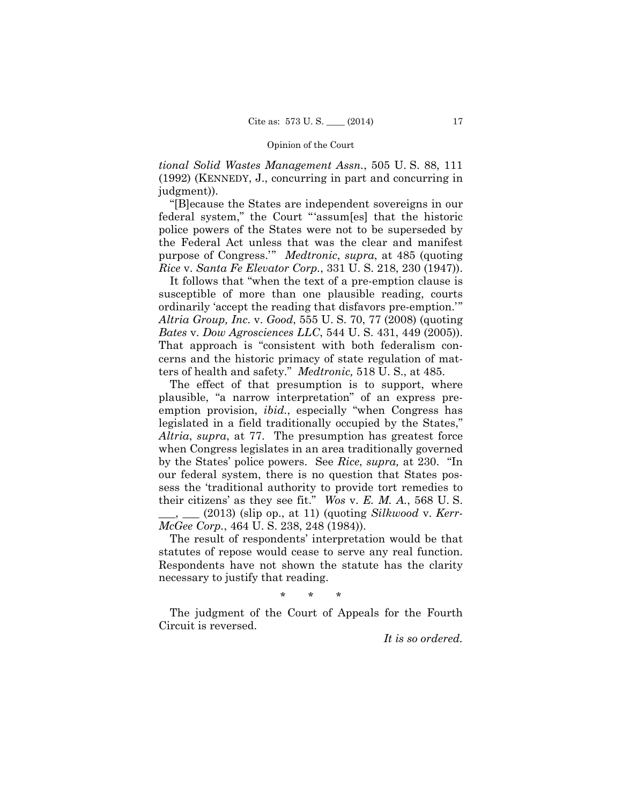*tional Solid Wastes Management Assn.*, 505 U. S. 88, 111 (1992) (KENNEDY, J., concurring in part and concurring in judgment)).

"[B]ecause the States are independent sovereigns in our federal system," the Court "'assum[es] that the historic police powers of the States were not to be superseded by the Federal Act unless that was the clear and manifest purpose of Congress.'" *Medtronic*, *supra*, at 485 (quoting *Rice* v. *Santa Fe Elevator Corp.*, 331 U. S. 218, 230 (1947)).

It follows that "when the text of a pre-emption clause is susceptible of more than one plausible reading, courts ordinarily 'accept the reading that disfavors pre-emption.'" *Altria Group, Inc.* v. *Good*, 555 U. S. 70, 77 (2008) (quoting *Bates* v. *Dow Agrosciences LLC*, 544 U. S. 431, 449 (2005)). That approach is "consistent with both federalism concerns and the historic primacy of state regulation of matters of health and safety." *Medtronic,* 518 U. S., at 485.

The effect of that presumption is to support, where plausible, "a narrow interpretation" of an express preemption provision, *ibid.*, especially "when Congress has legislated in a field traditionally occupied by the States," *Altria*, *supra*, at 77. The presumption has greatest force when Congress legislates in an area traditionally governed by the States' police powers. See *Rice*, *supra,* at 230. "In our federal system, there is no question that States possess the 'traditional authority to provide tort remedies to their citizens' as they see fit." *Wos* v. *E. M. A.*, 568 U. S. \_\_\_, \_\_\_ (2013) (slip op., at 11) (quoting *Silkwood* v. *Kerr-McGee Corp.*, 464 U. S. 238, 248 (1984)).

The result of respondents' interpretation would be that statutes of repose would cease to serve any real function. Respondents have not shown the statute has the clarity necessary to justify that reading.

\* \* \*

The judgment of the Court of Appeals for the Fourth Circuit is reversed.

*It is so ordered.*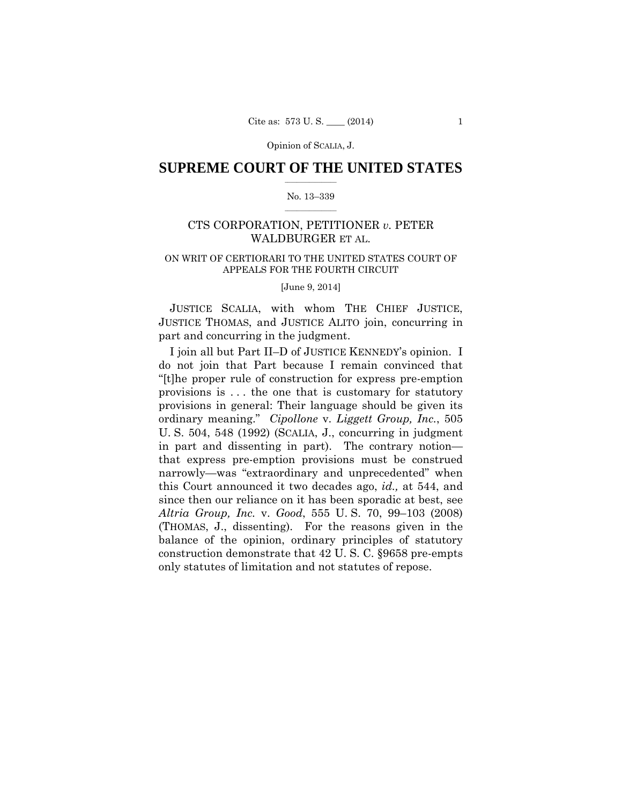Opinion of SCALIA, J.

## $\frac{1}{2}$  ,  $\frac{1}{2}$  ,  $\frac{1}{2}$  ,  $\frac{1}{2}$  ,  $\frac{1}{2}$  ,  $\frac{1}{2}$  ,  $\frac{1}{2}$ **SUPREME COURT OF THE UNITED STATES**

## $\frac{1}{2}$  ,  $\frac{1}{2}$  ,  $\frac{1}{2}$  ,  $\frac{1}{2}$  ,  $\frac{1}{2}$  ,  $\frac{1}{2}$ No. 13–339

# CTS CORPORATION, PETITIONER *v.* PETER WALDBURGER ET AL.

# ON WRIT OF CERTIORARI TO THE UNITED STATES COURT OF APPEALS FOR THE FOURTH CIRCUIT

[June 9, 2014]

 JUSTICE SCALIA, with whom THE CHIEF JUSTICE, JUSTICE THOMAS, and JUSTICE ALITO join, concurring in part and concurring in the judgment.

I join all but Part II–D of JUSTICE KENNEDY's opinion. I do not join that Part because I remain convinced that "[t]he proper rule of construction for express pre-emption provisions is . . . the one that is customary for statutory provisions in general: Their language should be given its ordinary meaning." *Cipollone* v. *Liggett Group, Inc.*, 505 U. S. 504, 548 (1992) (SCALIA, J., concurring in judgment in part and dissenting in part). The contrary notion that express pre-emption provisions must be construed narrowly—was "extraordinary and unprecedented" when this Court announced it two decades ago, *id.,* at 544, and since then our reliance on it has been sporadic at best, see *Altria Group, Inc.* v. *Good*, 555 U. S. 70, 99–103 (2008) (THOMAS, J., dissenting). For the reasons given in the balance of the opinion, ordinary principles of statutory construction demonstrate that 42 U. S. C. §9658 pre-empts only statutes of limitation and not statutes of repose.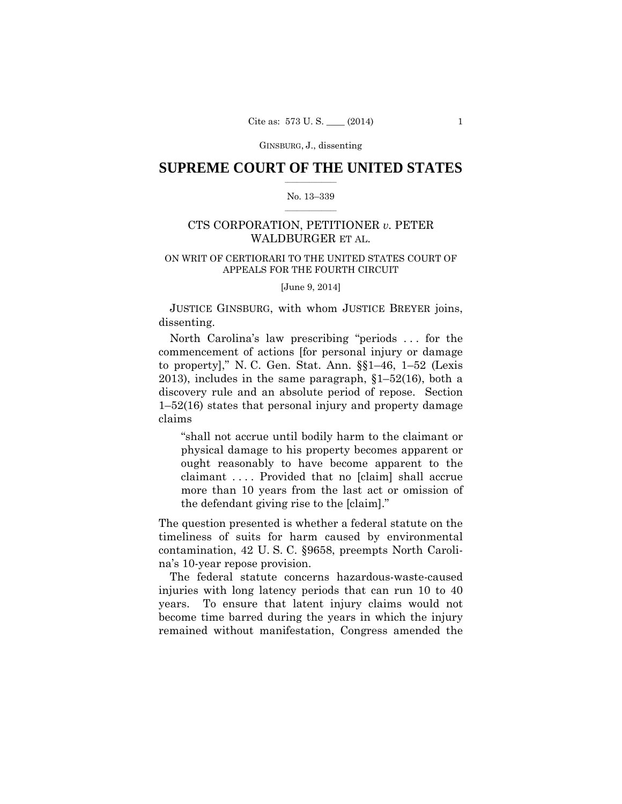## $\frac{1}{2}$  ,  $\frac{1}{2}$  ,  $\frac{1}{2}$  ,  $\frac{1}{2}$  ,  $\frac{1}{2}$  ,  $\frac{1}{2}$  ,  $\frac{1}{2}$ **SUPREME COURT OF THE UNITED STATES**

## $\frac{1}{2}$  ,  $\frac{1}{2}$  ,  $\frac{1}{2}$  ,  $\frac{1}{2}$  ,  $\frac{1}{2}$  ,  $\frac{1}{2}$ No. 13–339

# CTS CORPORATION, PETITIONER *v.* PETER WALDBURGER ET AL.

# ON WRIT OF CERTIORARI TO THE UNITED STATES COURT OF APPEALS FOR THE FOURTH CIRCUIT

[June 9, 2014]

 JUSTICE GINSBURG, with whom JUSTICE BREYER joins, dissenting.

North Carolina's law prescribing "periods . . . for the commencement of actions [for personal injury or damage to property]," N. C. Gen. Stat. Ann. §§1–46, 1–52 (Lexis 2013), includes in the same paragraph, §1–52(16), both a discovery rule and an absolute period of repose. Section 1–52(16) states that personal injury and property damage claims

"shall not accrue until bodily harm to the claimant or physical damage to his property becomes apparent or ought reasonably to have become apparent to the claimant . . . . Provided that no [claim] shall accrue more than 10 years from the last act or omission of the defendant giving rise to the [claim]."

The question presented is whether a federal statute on the timeliness of suits for harm caused by environmental contamination, 42 U. S. C. §9658, preempts North Carolina's 10-year repose provision.

The federal statute concerns hazardous-waste-caused injuries with long latency periods that can run 10 to 40 years. To ensure that latent injury claims would not become time barred during the years in which the injury remained without manifestation, Congress amended the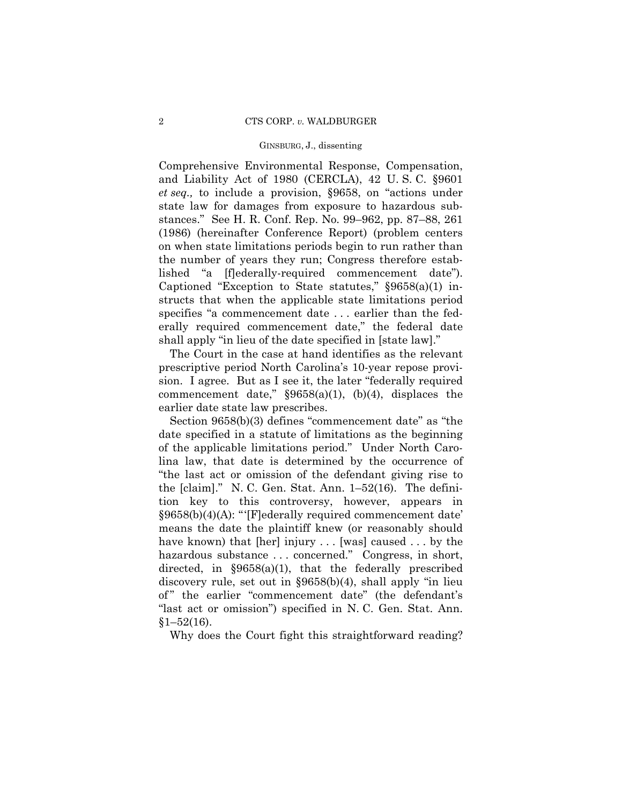Comprehensive Environmental Response, Compensation, and Liability Act of 1980 (CERCLA), 42 U. S. C. §9601 *et seq.,* to include a provision, §9658, on "actions under state law for damages from exposure to hazardous substances." See H. R. Conf. Rep. No. 99–962, pp. 87–88, 261 (1986) (hereinafter Conference Report) (problem centers on when state limitations periods begin to run rather than the number of years they run; Congress therefore established "a [f]ederally-required commencement date"). Captioned "Exception to State statutes," §9658(a)(1) instructs that when the applicable state limitations period specifies "a commencement date . . . earlier than the federally required commencement date," the federal date shall apply "in lieu of the date specified in [state law]."

The Court in the case at hand identifies as the relevant prescriptive period North Carolina's 10-year repose provision. I agree. But as I see it, the later "federally required commencement date,"  $§9658(a)(1)$ , (b)(4), displaces the earlier date state law prescribes.

Section 9658(b)(3) defines "commencement date" as "the date specified in a statute of limitations as the beginning of the applicable limitations period." Under North Carolina law, that date is determined by the occurrence of "the last act or omission of the defendant giving rise to the [claim]." N. C. Gen. Stat. Ann. 1–52(16). The definition key to this controversy, however, appears in §9658(b)(4)(A): "'[F]ederally required commencement date' means the date the plaintiff knew (or reasonably should have known) that [her] injury ... [was] caused ... by the hazardous substance ... concerned." Congress, in short, directed, in §9658(a)(1), that the federally prescribed discovery rule, set out in §9658(b)(4), shall apply "in lieu of " the earlier "commencement date" (the defendant's "last act or omission") specified in N. C. Gen. Stat. Ann.  $§1 - 52(16).$ 

Why does the Court fight this straightforward reading?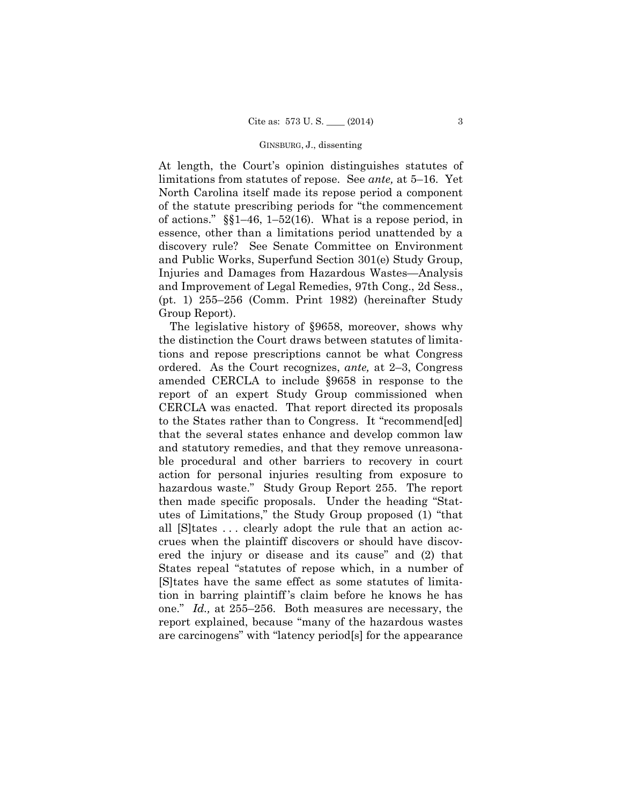At length, the Court's opinion distinguishes statutes of limitations from statutes of repose. See *ante,* at 5–16. Yet North Carolina itself made its repose period a component of the statute prescribing periods for "the commencement of actions."  $\S$  $I-46$ ,  $1-52(16)$ . What is a repose period, in essence, other than a limitations period unattended by a discovery rule? See Senate Committee on Environment and Public Works, Superfund Section 301(e) Study Group, Injuries and Damages from Hazardous Wastes—Analysis and Improvement of Legal Remedies, 97th Cong., 2d Sess., (pt. 1) 255–256 (Comm. Print 1982) (hereinafter Study Group Report).

The legislative history of §9658, moreover, shows why the distinction the Court draws between statutes of limitations and repose prescriptions cannot be what Congress ordered. As the Court recognizes, *ante,* at 2–3, Congress amended CERCLA to include §9658 in response to the report of an expert Study Group commissioned when CERCLA was enacted. That report directed its proposals to the States rather than to Congress. It "recommend[ed] that the several states enhance and develop common law and statutory remedies, and that they remove unreasonable procedural and other barriers to recovery in court action for personal injuries resulting from exposure to hazardous waste." Study Group Report 255. The report then made specific proposals. Under the heading "Statutes of Limitations," the Study Group proposed (1) "that all [S]tates . . . clearly adopt the rule that an action accrues when the plaintiff discovers or should have discovered the injury or disease and its cause" and (2) that States repeal "statutes of repose which, in a number of [S]tates have the same effect as some statutes of limitation in barring plaintiff 's claim before he knows he has one." *Id.,* at 255–256. Both measures are necessary, the report explained, because "many of the hazardous wastes are carcinogens" with "latency period[s] for the appearance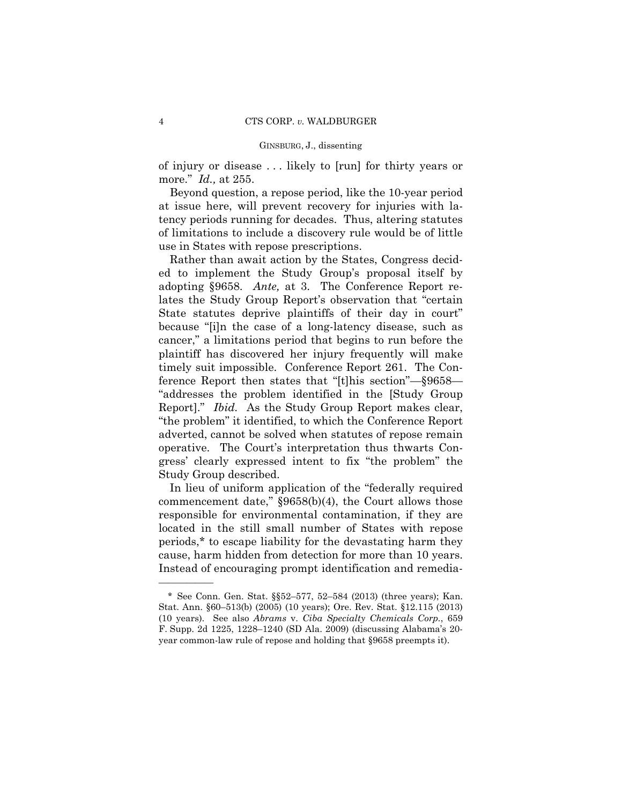of injury or disease . . . likely to [run] for thirty years or more." *Id.,* at 255.

Beyond question, a repose period, like the 10-year period at issue here, will prevent recovery for injuries with latency periods running for decades. Thus, altering statutes of limitations to include a discovery rule would be of little use in States with repose prescriptions.

Rather than await action by the States, Congress decided to implement the Study Group's proposal itself by adopting §9658. *Ante,* at 3. The Conference Report relates the Study Group Report's observation that "certain State statutes deprive plaintiffs of their day in court" because "[i]n the case of a long-latency disease, such as cancer," a limitations period that begins to run before the plaintiff has discovered her injury frequently will make timely suit impossible. Conference Report 261. The Conference Report then states that "[t]his section"—§9658— "addresses the problem identified in the [Study Group Report]." *Ibid.* As the Study Group Report makes clear, "the problem" it identified, to which the Conference Report adverted, cannot be solved when statutes of repose remain operative. The Court's interpretation thus thwarts Congress' clearly expressed intent to fix "the problem" the Study Group described.

In lieu of uniform application of the "federally required commencement date," §9658(b)(4), the Court allows those responsible for environmental contamination, if they are located in the still small number of States with repose periods,\* to escape liability for the devastating harm they cause, harm hidden from detection for more than 10 years. Instead of encouraging prompt identification and remedia-

——————

<sup>\*</sup> See Conn. Gen. Stat. §§52–577, 52–584 (2013) (three years); Kan. Stat. Ann. §60–513(b) (2005) (10 years); Ore. Rev. Stat. §12.115 (2013) (10 years). See also *Abrams* v. *Ciba Specialty Chemicals Corp.*, 659 F. Supp. 2d 1225, 1228–1240 (SD Ala. 2009) (discussing Alabama's 20 year common-law rule of repose and holding that §9658 preempts it).